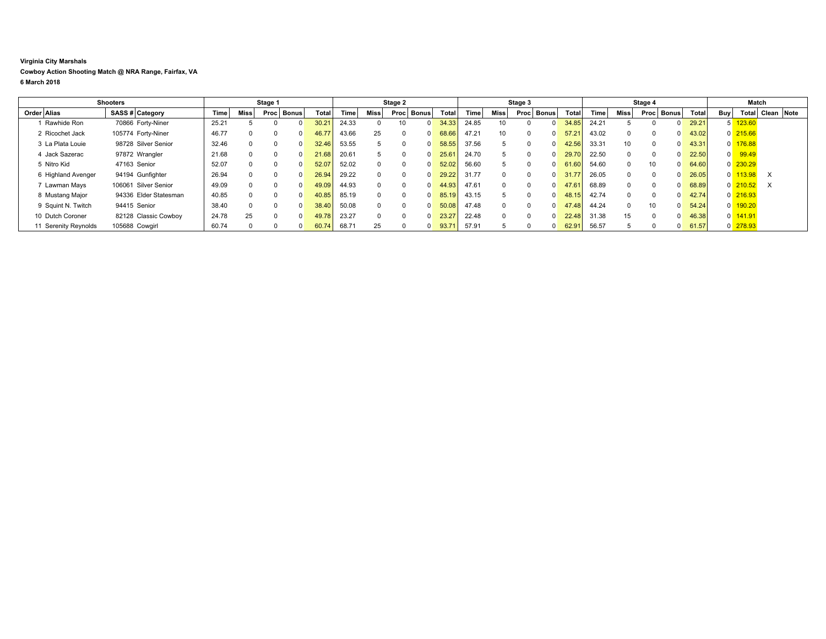## **Virginia City Marshals Cowboy Action Shooting Match @ NRA Range, Fairfax, VA 6 March 2018**

|                      | <b>Shooters</b>       |       |             | Stage 1 |              |                |             |          | Stage 2  |              |       |                   |                 | Stage 3           |       |             |                 | Stage 4 |              |       |                | Match                |                  |  |
|----------------------|-----------------------|-------|-------------|---------|--------------|----------------|-------------|----------|----------|--------------|-------|-------------------|-----------------|-------------------|-------|-------------|-----------------|---------|--------------|-------|----------------|----------------------|------------------|--|
| Order Alias          | SASS # Category       | Time  | <b>Miss</b> |         | Proc   Bonus | <b>Total</b>   | <b>Time</b> | Miss     | Procl    | <b>Bonus</b> | Total | Time <sub>1</sub> | Miss            | <b>Proc</b> Bonus | Total | <b>Time</b> | Miss            | Proc    | <b>Bonus</b> | Total | Buy            |                      | Total Clean Note |  |
| Rawhide Ron          | 70866 Forty-Niner     | 25.21 |             |         |              | $30.2^{\circ}$ | 24.33       | 0        | 10       |              | 34.33 | 24.85             | 10 <sup>1</sup> |                   | 34.85 | 24.21       |                 |         |              | 29.21 |                | 5 123.60             |                  |  |
| 2 Ricochet Jack      | 105774 Forty-Niner    | 46.77 |             |         |              | 46.77          | 43.66       | 25       | $\Omega$ |              | 68.66 | 47.21             | 10 <sup>1</sup> |                   | 57.21 | 43.02       | $\Omega$        |         |              | 43.02 |                | $0$ 215.66           |                  |  |
| 3 La Plata Louie     | 98728 Silver Senior   | 32.46 |             |         |              | 32.46          | 53.55       | 5        | $\Omega$ |              | 58.55 | 37.56             | 5               |                   | 42.56 | 33.31       | 10 <sup>1</sup> |         |              | 43.31 |                | 0 176.88             |                  |  |
| 4 Jack Sazerac       | 97872 Wrangler        | 21.68 |             |         |              | 21.68          | 20.61       | 5        | $\Omega$ |              | 25.61 | 24.70             |                 |                   | 29.70 | 22.50       | $^{\circ}$      |         |              | 22.50 | $\overline{0}$ | 99.49                |                  |  |
| 5 Nitro Kid          | 47163 Senior          | 52.07 |             |         |              | 52.07          | 52.02       | $\Omega$ | $\Omega$ |              | 52.02 | 56.60             |                 |                   | 61.60 | 54.60       | $^{\circ}$      |         |              | 64.60 |                | $0$ 230.29           |                  |  |
| 6 Highland Avenger   | 94194 Gunfighter      | 26.94 |             |         |              | 26.94          | 29.22       | $\Omega$ | $\Omega$ |              | 29.22 | 31.77             |                 |                   | 31.77 | 26.05       | $^{\circ}$      |         |              | 26.05 | $\overline{0}$ | 113.98               | $\times$         |  |
| 7 Lawman Mays        | 106061 Silver Senior  | 49.09 |             |         |              | 49.09          | 44.93       | $\Omega$ | $\Omega$ |              | 44.93 | 47.61             | $\Omega$        |                   | 47.61 | 68.89       | $^{\circ}$      |         |              | 68.89 |                | $0\overline{210.52}$ | $\times$         |  |
| 8 Mustang Major      | 94336 Elder Statesman | 40.85 |             |         |              | 40.85          | 85.19       | $\Omega$ | $\Omega$ |              | 85.19 | 43.15             |                 |                   | 48.15 | 42.74       | $\Omega$        |         |              | 42.74 |                | 0 216.93             |                  |  |
| 9 Squint N. Twitch   | 94415 Senior          | 38.40 |             |         |              | 38.40          | 50.08       | $\Omega$ | $\Omega$ |              | 50.08 | 47.48             |                 |                   | 47.48 | 44.24       | $\Omega$        |         |              | 54.24 |                | $0$ 190.20           |                  |  |
| 10 Dutch Coroner     | 82128 Classic Cowboy  | 24.78 | 25          |         |              | 49.78          | 23.27       | $\Omega$ | $\Omega$ |              | 23.27 | 22.48             | $\Omega$        |                   | 22.48 | 31.38       | 15              |         |              | 46.38 |                | $0$ 141.91           |                  |  |
| 11 Serenity Reynolds | 105688 Cowgirl        | 60.74 |             |         |              | 60.74          | 68.71       | 25       | $\Omega$ |              | 93.7' | 57.91             |                 |                   | 62.91 | 56.57       |                 |         |              | 61.57 |                | 0 278.93             |                  |  |